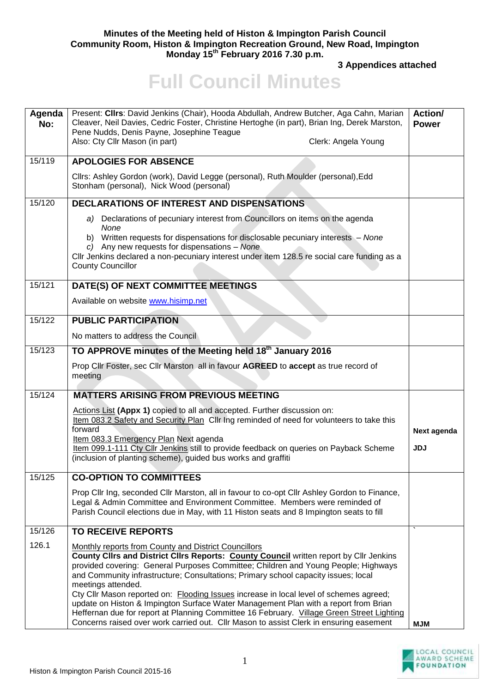## **Minutes of the Meeting held of Histon & Impington Parish Council Community Room, Histon & Impington Recreation Ground, New Road, Impington Monday 15th February 2016 7.30 p.m.**

**3 Appendices attached** 

## **Full Council Minutes**

| Agenda<br>No: | Present: Cllrs: David Jenkins (Chair), Hooda Abdullah, Andrew Butcher, Aga Cahn, Marian<br>Cleaver, Neil Davies, Cedric Foster, Christine Hertoghe (in part), Brian Ing, Derek Marston,<br>Pene Nudds, Denis Payne, Josephine Teague<br>Also: Cty Cllr Mason (in part)<br>Clerk: Angela Young                                                                                                                                                                                                                                                                                                                                                                                                                                   | Action/<br><b>Power</b>   |
|---------------|---------------------------------------------------------------------------------------------------------------------------------------------------------------------------------------------------------------------------------------------------------------------------------------------------------------------------------------------------------------------------------------------------------------------------------------------------------------------------------------------------------------------------------------------------------------------------------------------------------------------------------------------------------------------------------------------------------------------------------|---------------------------|
| 15/119        | <b>APOLOGIES FOR ABSENCE</b>                                                                                                                                                                                                                                                                                                                                                                                                                                                                                                                                                                                                                                                                                                    |                           |
|               | Cllrs: Ashley Gordon (work), David Legge (personal), Ruth Moulder (personal), Edd<br>Stonham (personal), Nick Wood (personal)                                                                                                                                                                                                                                                                                                                                                                                                                                                                                                                                                                                                   |                           |
| 15/120        | DECLARATIONS OF INTEREST AND DISPENSATIONS                                                                                                                                                                                                                                                                                                                                                                                                                                                                                                                                                                                                                                                                                      |                           |
|               | a) Declarations of pecuniary interest from Councillors on items on the agenda<br>None<br>b) Written requests for dispensations for disclosable pecuniary interests - None<br>c) Any new requests for dispensations - None<br>Cllr Jenkins declared a non-pecuniary interest under item 128.5 re social care funding as a<br><b>County Councillor</b>                                                                                                                                                                                                                                                                                                                                                                            |                           |
| 15/121        | DATE(S) OF NEXT COMMITTEE MEETINGS                                                                                                                                                                                                                                                                                                                                                                                                                                                                                                                                                                                                                                                                                              |                           |
|               | Available on website www.hisimp.net                                                                                                                                                                                                                                                                                                                                                                                                                                                                                                                                                                                                                                                                                             |                           |
| 15/122        | <b>PUBLIC PARTICIPATION</b>                                                                                                                                                                                                                                                                                                                                                                                                                                                                                                                                                                                                                                                                                                     |                           |
|               | No matters to address the Council                                                                                                                                                                                                                                                                                                                                                                                                                                                                                                                                                                                                                                                                                               |                           |
| 15/123        | TO APPROVE minutes of the Meeting held 18 <sup>th</sup> January 2016                                                                                                                                                                                                                                                                                                                                                                                                                                                                                                                                                                                                                                                            |                           |
|               | Prop Cllr Foster, sec Cllr Marston all in favour AGREED to accept as true record of<br>meeting                                                                                                                                                                                                                                                                                                                                                                                                                                                                                                                                                                                                                                  |                           |
| 15/124        | <b>MATTERS ARISING FROM PREVIOUS MEETING</b>                                                                                                                                                                                                                                                                                                                                                                                                                                                                                                                                                                                                                                                                                    |                           |
|               | Actions List (Appx 1) copied to all and accepted. Further discussion on:<br>Item 083.2 Safety and Security Plan Cllr Ing reminded of need for volunteers to take this<br>forward<br>Item 083.3 Emergency Plan Next agenda<br>Item 099.1-111 Cty Cllr Jenkins still to provide feedback on queries on Payback Scheme<br>(inclusion of planting scheme), guided bus works and graffiti                                                                                                                                                                                                                                                                                                                                            | Next agenda<br><b>JDJ</b> |
| 15/125        | <b>CO-OPTION TO COMMITTEES</b>                                                                                                                                                                                                                                                                                                                                                                                                                                                                                                                                                                                                                                                                                                  |                           |
|               | Prop Cllr Ing, seconded Cllr Marston, all in favour to co-opt Cllr Ashley Gordon to Finance,<br>Legal & Admin Committee and Environment Committee. Members were reminded of<br>Parish Council elections due in May, with 11 Histon seats and 8 Impington seats to fill                                                                                                                                                                                                                                                                                                                                                                                                                                                          |                           |
| 15/126        | <b>TO RECEIVE REPORTS</b>                                                                                                                                                                                                                                                                                                                                                                                                                                                                                                                                                                                                                                                                                                       |                           |
| 126.1         | Monthly reports from County and District Councillors<br>County Clirs and District Clirs Reports: <b>County Council</b> written report by Clir Jenkins<br>provided covering: General Purposes Committee; Children and Young People; Highways<br>and Community infrastructure; Consultations; Primary school capacity issues; local<br>meetings attended.<br>Cty Cllr Mason reported on: Flooding Issues increase in local level of schemes agreed;<br>update on Histon & Impington Surface Water Management Plan with a report from Brian<br>Heffernan due for report at Planning Committee 16 February. Village Green Street Lighting<br>Concerns raised over work carried out. Cllr Mason to assist Clerk in ensuring easement | <b>MJM</b>                |

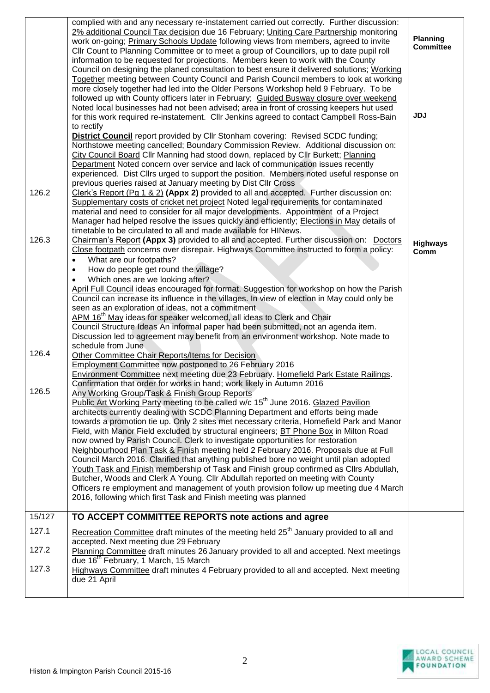|        | complied with and any necessary re-instatement carried out correctly. Further discussion:<br>2% additional Council Tax decision due 16 February; Uniting Care Partnership monitoring<br>work on-going; Primary Schools Update following views from members, agreed to invite<br>Cllr Count to Planning Committee or to meet a group of Councillors, up to date pupil roll<br>information to be requested for projections. Members keen to work with the County<br>Council on designing the planed consultation to best ensure it delivered solutions; Working<br>Together meeting between County Council and Parish Council members to look at working<br>more closely together had led into the Older Persons Workshop held 9 February. To be<br>followed up with County officers later in February; Guided Busway closure over weekend<br>Noted local businesses had not been advised; area in front of crossing keepers hut used<br>for this work required re-instatement. Cllr Jenkins agreed to contact Campbell Ross-Bain<br>to rectify<br><b>District Council</b> report provided by Cllr Stonham covering: Revised SCDC funding;<br>Northstowe meeting cancelled; Boundary Commission Review. Additional discussion on: | <b>Planning</b><br><b>Committee</b><br><b>JDJ</b> |
|--------|---------------------------------------------------------------------------------------------------------------------------------------------------------------------------------------------------------------------------------------------------------------------------------------------------------------------------------------------------------------------------------------------------------------------------------------------------------------------------------------------------------------------------------------------------------------------------------------------------------------------------------------------------------------------------------------------------------------------------------------------------------------------------------------------------------------------------------------------------------------------------------------------------------------------------------------------------------------------------------------------------------------------------------------------------------------------------------------------------------------------------------------------------------------------------------------------------------------------------------|---------------------------------------------------|
|        | City Council Board Cllr Manning had stood down, replaced by Cllr Burkett; Planning<br>Department Noted concern over service and lack of communication issues recently<br>experienced. Dist Cllrs urged to support the position. Members noted useful response on<br>previous queries raised at January meeting by Dist Cllr Cross                                                                                                                                                                                                                                                                                                                                                                                                                                                                                                                                                                                                                                                                                                                                                                                                                                                                                               |                                                   |
| 126.2  | Clerk's Report (Pq $1 \& 2$ ) (Appx 2) provided to all and accepted. Further discussion on:<br>Supplementary costs of cricket net project Noted legal requirements for contaminated<br>material and need to consider for all major developments. Appointment of a Project<br>Manager had helped resolve the issues quickly and efficiently; Elections in May details of<br>timetable to be circulated to all and made available for HINews.                                                                                                                                                                                                                                                                                                                                                                                                                                                                                                                                                                                                                                                                                                                                                                                     |                                                   |
| 126.3  | Chairman's Report (Appx 3) provided to all and accepted. Further discussion on: Doctors<br>Close footpath concerns over disrepair. Highways Committee instructed to form a policy:<br>What are our footpaths?<br>$\bullet$<br>How do people get round the village?<br>$\bullet$<br>Which ones are we looking after?<br>$\bullet$<br>April Full Council ideas encouraged for format. Suggestion for workshop on how the Parish<br>Council can increase its influence in the villages. In view of election in May could only be<br>seen as an exploration of ideas, not a commitment<br>APM 16 <sup>th</sup> May ideas for speaker welcomed, all ideas to Clerk and Chair<br>Council Structure Ideas An informal paper had been submitted, not an agenda item.<br>Discussion led to agreement may benefit from an environment workshop. Note made to                                                                                                                                                                                                                                                                                                                                                                              | <b>Highways</b><br>Comm                           |
| 126.4  | schedule from June<br>Other Committee Chair Reports/Items for Decision<br><b>Employment Committee now postponed to 26 February 2016</b><br>Environment Committee next meeting due 23 February. Homefield Park Estate Railings.                                                                                                                                                                                                                                                                                                                                                                                                                                                                                                                                                                                                                                                                                                                                                                                                                                                                                                                                                                                                  |                                                   |
| 126.5  | Confirmation that order for works in hand; work likely in Autumn 2016<br>Any Working Group/Task & Finish Group Reports<br>Public Art Working Party meeting to be called w/c 15 <sup>th</sup> June 2016. Glazed Pavilion<br>architects currently dealing with SCDC Planning Department and efforts being made<br>towards a promotion tie up. Only 2 sites met necessary criteria, Homefield Park and Manor<br>Field, with Manor Field excluded by structural engineers; BT Phone Box in Milton Road<br>now owned by Parish Council. Clerk to investigate opportunities for restoration<br>Neighbourhood Plan Task & Finish meeting held 2 February 2016. Proposals due at Full<br>Council March 2016. Clarified that anything published bore no weight until plan adopted<br>Youth Task and Finish membership of Task and Finish group confirmed as Cllrs Abdullah,<br>Butcher, Woods and Clerk A Young. Cllr Abdullah reported on meeting with County<br>Officers re employment and management of youth provision follow up meeting due 4 March<br>2016, following which first Task and Finish meeting was planned                                                                                                              |                                                   |
| 15/127 | TO ACCEPT COMMITTEE REPORTS note actions and agree                                                                                                                                                                                                                                                                                                                                                                                                                                                                                                                                                                                                                                                                                                                                                                                                                                                                                                                                                                                                                                                                                                                                                                              |                                                   |
| 127.1  | Recreation Committee draft minutes of the meeting held 25 <sup>th</sup> January provided to all and                                                                                                                                                                                                                                                                                                                                                                                                                                                                                                                                                                                                                                                                                                                                                                                                                                                                                                                                                                                                                                                                                                                             |                                                   |
| 127.2  | accepted. Next meeting due 29 February<br>Planning Committee draft minutes 26 January provided to all and accepted. Next meetings                                                                                                                                                                                                                                                                                                                                                                                                                                                                                                                                                                                                                                                                                                                                                                                                                                                                                                                                                                                                                                                                                               |                                                   |
| 127.3  | due 16 <sup>th</sup> February, 1 March, 15 March<br>Highways Committee draft minutes 4 February provided to all and accepted. Next meeting<br>due 21 April                                                                                                                                                                                                                                                                                                                                                                                                                                                                                                                                                                                                                                                                                                                                                                                                                                                                                                                                                                                                                                                                      |                                                   |